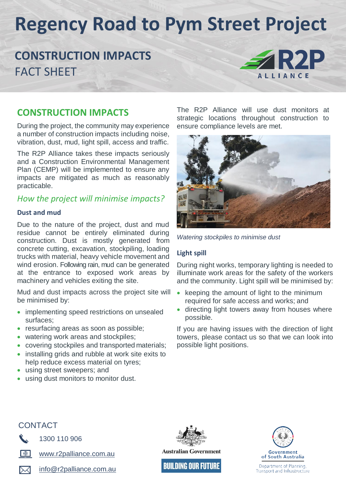# **Regency Road to Pym Street Project**

## **CONSTRUCTION IMPACTS** FACT SHEET



### **CONSTRUCTION IMPACTS**

During the project, the community may experience a number of construction impacts including noise, vibration, dust, mud, light spill, access and traffic.

The R2P Alliance takes these impacts seriously and a Construction Environmental Management Plan (CEMP) will be implemented to ensure any impacts are mitigated as much as reasonably practicable.

### *How the project will minimise impacts?*

### **Dust and mud**

Due to the nature of the project, dust and mud residue cannot be entirely eliminated during construction. Dust is mostly generated from concrete cutting, excavation, stockpiling, loading trucks with material, heavy vehicle movement and wind erosion. Following rain, mud can be generated at the entrance to exposed work areas by machinery and vehicles exiting the site.

Mud and dust impacts across the project site will be minimised by:

- implementing speed restrictions on unsealed surfaces;
- resurfacing areas as soon as possible;
- watering work areas and stockpiles;
- covering stockpiles and transported materials;
- installing grids and rubble at work site exits to
- help reduce excess material on tyres; using street sweepers; and
- using dust monitors to monitor dust.

The R2P Alliance will use dust monitors at strategic locations throughout construction to ensure compliance levels are met.



*Watering stockpiles to minimise dust*

### **Light spill**

During night works, temporary lighting is needed to illuminate work areas for the safety of the workers and the community. Light spill will be minimised by:

- $\bullet$  keeping the amount of light to the minimum required for safe access and works; and
- directing light towers away from houses where possible.

If you are having issues with the direction of light towers, please contact us so that we can look into possible light positions.





1300 110 906



[www.r2palliance.com.au](http://www.r2palliance.com.au/)

[info@r2palliance.com.au](mailto:info@r2palliance.com.au)



**BUILDING OUR FUTURE**